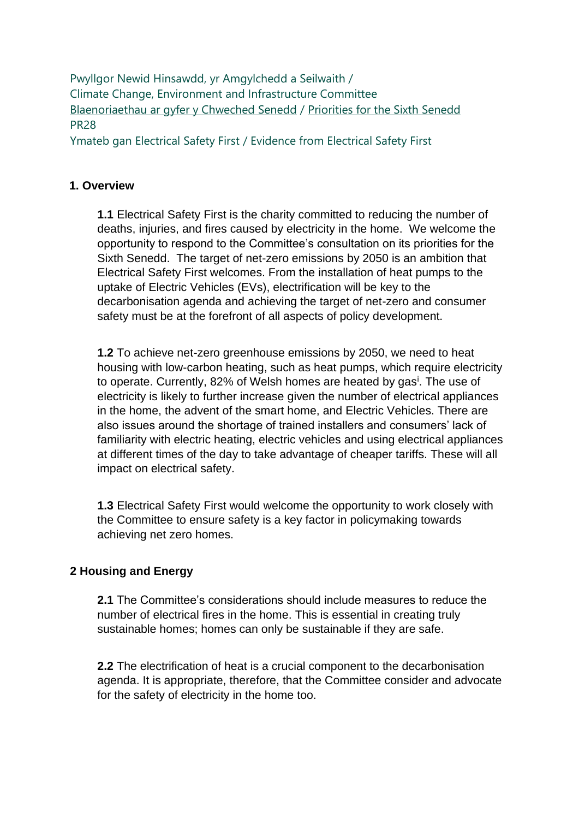Pwyllgor Newid Hinsawdd, yr Amgylchedd a Seilwaith / Climate Change, Environment and Infrastructure Committee [Blaenoriaethau ar gyfer y Chweched Senedd](https://busnes.senedd.cymru/mgConsultationDisplay.aspx?id=427&RPID=1026452002&cp=yes) / Priorities [for the Sixth Senedd](https://business.senedd.wales/mgConsultationDisplay.aspx?id=427&RPID=1026452002&cp=yes) PR28

Ymateb gan Electrical Safety First / Evidence from Electrical Safety First

#### **1. Overview**

**1.1** Electrical Safety First is the charity committed to reducing the number of deaths, injuries, and fires caused by electricity in the home. We welcome the opportunity to respond to the Committee's consultation on its priorities for the Sixth Senedd. The target of net-zero emissions by 2050 is an ambition that Electrical Safety First welcomes. From the installation of heat pumps to the uptake of Electric Vehicles (EVs), electrification will be key to the decarbonisation agenda and achieving the target of net-zero and consumer safety must be at the forefront of all aspects of policy development.

**1.2** To achieve net-zero greenhouse emissions by 2050, we need to heat housing with low-carbon heating, such as heat pumps, which require electricity to operate. Currently, 82% of Welsh homes are heated by gas<sup>i</sup>. The use of electricity is likely to further increase given the number of electrical appliances in the home, the advent of the smart home, and Electric Vehicles. There are also issues around the shortage of trained installers and consumers' lack of familiarity with electric heating, electric vehicles and using electrical appliances at different times of the day to take advantage of cheaper tariffs. These will all impact on electrical safety.

**1.3** Electrical Safety First would welcome the opportunity to work closely with the Committee to ensure safety is a key factor in policymaking towards achieving net zero homes.

# **2 Housing and Energy**

**2.1** The Committee's considerations should include measures to reduce the number of electrical fires in the home. This is essential in creating truly sustainable homes; homes can only be sustainable if they are safe.

**2.2** The electrification of heat is a crucial component to the decarbonisation agenda. It is appropriate, therefore, that the Committee consider and advocate for the safety of electricity in the home too.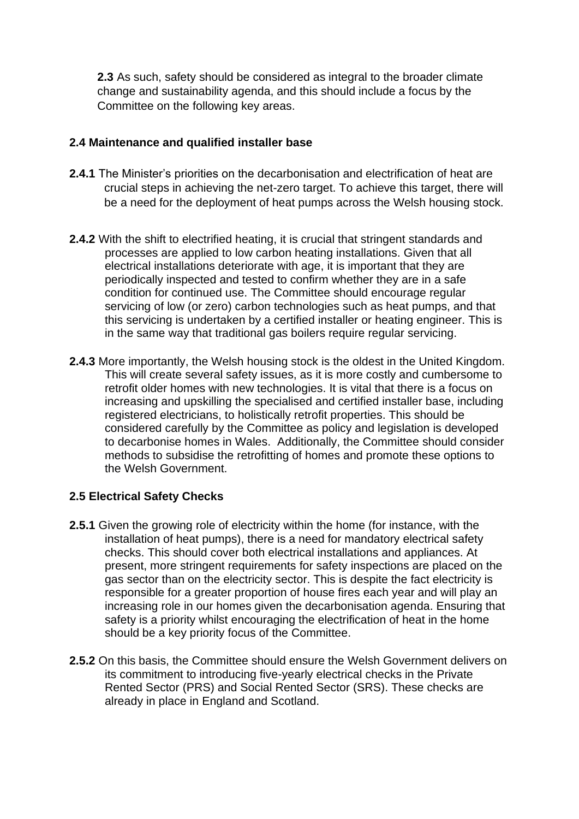**2.3** As such, safety should be considered as integral to the broader climate change and sustainability agenda, and this should include a focus by the Committee on the following key areas.

## **2.4 Maintenance and qualified installer base**

- **2.4.1** The Minister's priorities on the decarbonisation and electrification of heat are crucial steps in achieving the net-zero target. To achieve this target, there will be a need for the deployment of heat pumps across the Welsh housing stock.
- **2.4.2** With the shift to electrified heating, it is crucial that stringent standards and processes are applied to low carbon heating installations. Given that all electrical installations deteriorate with age, it is important that they are periodically inspected and tested to confirm whether they are in a safe condition for continued use. The Committee should encourage regular servicing of low (or zero) carbon technologies such as heat pumps, and that this servicing is undertaken by a certified installer or heating engineer. This is in the same way that traditional gas boilers require regular servicing.
- **2.4.3** More importantly, the Welsh housing stock is the oldest in the United Kingdom. This will create several safety issues, as it is more costly and cumbersome to retrofit older homes with new technologies. It is vital that there is a focus on increasing and upskilling the specialised and certified installer base, including registered electricians, to holistically retrofit properties. This should be considered carefully by the Committee as policy and legislation is developed to decarbonise homes in Wales. Additionally, the Committee should consider methods to subsidise the retrofitting of homes and promote these options to the Welsh Government.

#### **2.5 Electrical Safety Checks**

- **2.5.1** Given the growing role of electricity within the home (for instance, with the installation of heat pumps), there is a need for mandatory electrical safety checks. This should cover both electrical installations and appliances. At present, more stringent requirements for safety inspections are placed on the gas sector than on the electricity sector. This is despite the fact electricity is responsible for a greater proportion of house fires each year and will play an increasing role in our homes given the decarbonisation agenda. Ensuring that safety is a priority whilst encouraging the electrification of heat in the home should be a key priority focus of the Committee.
- **2.5.2** On this basis, the Committee should ensure the Welsh Government delivers on its commitment to introducing five-yearly electrical checks in the Private Rented Sector (PRS) and Social Rented Sector (SRS). These checks are already in place in England and Scotland.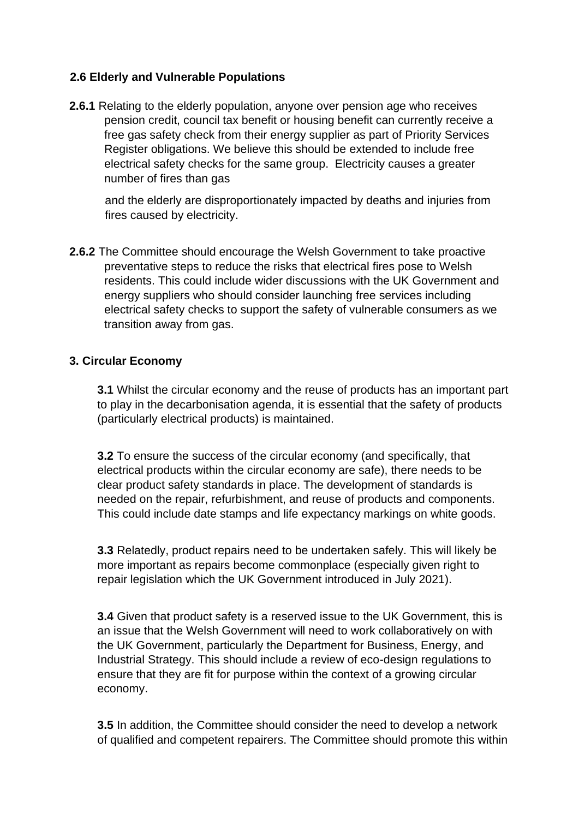## **2.6 Elderly and Vulnerable Populations**

**2.6.1** Relating to the elderly population, anyone over pension age who receives pension credit, council tax benefit or housing benefit can currently receive a free gas safety check from their energy supplier as part of Priority Services Register obligations. We believe this should be extended to include free electrical safety checks for the same group. Electricity causes a greater number of fires than gas

and the elderly are disproportionately impacted by deaths and injuries from fires caused by electricity.

**2.6.2** The Committee should encourage the Welsh Government to take proactive preventative steps to reduce the risks that electrical fires pose to Welsh residents. This could include wider discussions with the UK Government and energy suppliers who should consider launching free services including electrical safety checks to support the safety of vulnerable consumers as we transition away from gas.

#### **3. Circular Economy**

**3.1** Whilst the circular economy and the reuse of products has an important part to play in the decarbonisation agenda, it is essential that the safety of products (particularly electrical products) is maintained.

**3.2** To ensure the success of the circular economy (and specifically, that electrical products within the circular economy are safe), there needs to be clear product safety standards in place. The development of standards is needed on the repair, refurbishment, and reuse of products and components. This could include date stamps and life expectancy markings on white goods.

**3.3** Relatedly, product repairs need to be undertaken safely. This will likely be more important as repairs become commonplace (especially given right to repair legislation which the UK Government introduced in July 2021).

**3.4** Given that product safety is a reserved issue to the UK Government, this is an issue that the Welsh Government will need to work collaboratively on with the UK Government, particularly the Department for Business, Energy, and Industrial Strategy. This should include a review of eco-design regulations to ensure that they are fit for purpose within the context of a growing circular economy.

**3.5** In addition, the Committee should consider the need to develop a network of qualified and competent repairers. The Committee should promote this within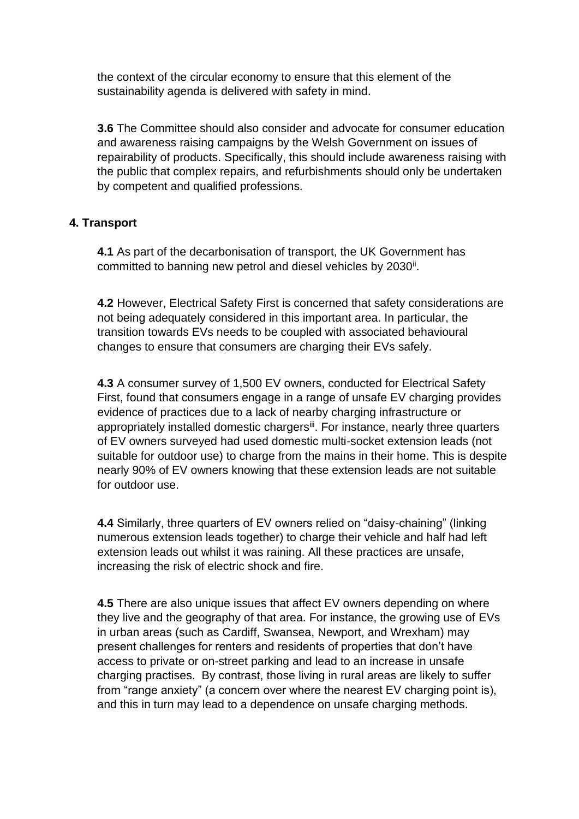the context of the circular economy to ensure that this element of the sustainability agenda is delivered with safety in mind.

**3.6** The Committee should also consider and advocate for consumer education and awareness raising campaigns by the Welsh Government on issues of repairability of products. Specifically, this should include awareness raising with the public that complex repairs, and refurbishments should only be undertaken by competent and qualified professions.

# **4. Transport**

**4.1** As part of the decarbonisation of transport, the UK Government has committed to banning new petrol and diesel vehicles by 2030<sup>ii</sup>.

**4.2** However, Electrical Safety First is concerned that safety considerations are not being adequately considered in this important area. In particular, the transition towards EVs needs to be coupled with associated behavioural changes to ensure that consumers are charging their EVs safely.

**4.3** A consumer survey of 1,500 EV owners, conducted for Electrical Safety First, found that consumers engage in a range of unsafe EV charging provides evidence of practices due to a lack of nearby charging infrastructure or appropriately installed domestic chargers<sup>iii</sup>. For instance, nearly three quarters of EV owners surveyed had used domestic multi-socket extension leads (not suitable for outdoor use) to charge from the mains in their home. This is despite nearly 90% of EV owners knowing that these extension leads are not suitable for outdoor use.

**4.4** Similarly, three quarters of EV owners relied on "daisy-chaining" (linking numerous extension leads together) to charge their vehicle and half had left extension leads out whilst it was raining. All these practices are unsafe, increasing the risk of electric shock and fire.

**4.5** There are also unique issues that affect EV owners depending on where they live and the geography of that area. For instance, the growing use of EVs in urban areas (such as Cardiff, Swansea, Newport, and Wrexham) may present challenges for renters and residents of properties that don't have access to private or on-street parking and lead to an increase in unsafe charging practises. By contrast, those living in rural areas are likely to suffer from "range anxiety" (a concern over where the nearest EV charging point is), and this in turn may lead to a dependence on unsafe charging methods.